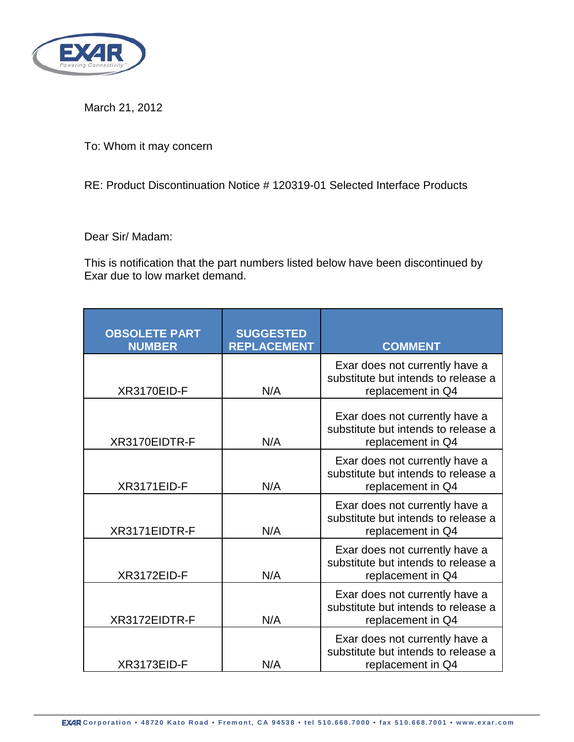

March 21, 2012

To: Whom it may concern

RE: Product Discontinuation Notice # 120319-01 Selected Interface Products

Dear Sir/ Madam:

This is notification that the part numbers listed below have been discontinued by Exar due to low market demand.

| <b>OBSOLETE PART</b><br><b>NUMBER</b> | <b>SUGGESTED</b><br><b>REPLACEMENT</b> | <b>COMMENT</b>                                                                             |
|---------------------------------------|----------------------------------------|--------------------------------------------------------------------------------------------|
| XR3170EID-F                           | N/A                                    | Exar does not currently have a<br>substitute but intends to release a<br>replacement in Q4 |
| XR3170EIDTR-F                         | N/A                                    | Exar does not currently have a<br>substitute but intends to release a<br>replacement in Q4 |
| XR3171EID-F                           | N/A                                    | Exar does not currently have a<br>substitute but intends to release a<br>replacement in Q4 |
| XR3171EIDTR-F                         | N/A                                    | Exar does not currently have a<br>substitute but intends to release a<br>replacement in Q4 |
| XR3172EID-F                           | N/A                                    | Exar does not currently have a<br>substitute but intends to release a<br>replacement in Q4 |
| XR3172EIDTR-F                         | N/A                                    | Exar does not currently have a<br>substitute but intends to release a<br>replacement in Q4 |
| XR3173EID-F                           | N/A                                    | Exar does not currently have a<br>substitute but intends to release a<br>replacement in Q4 |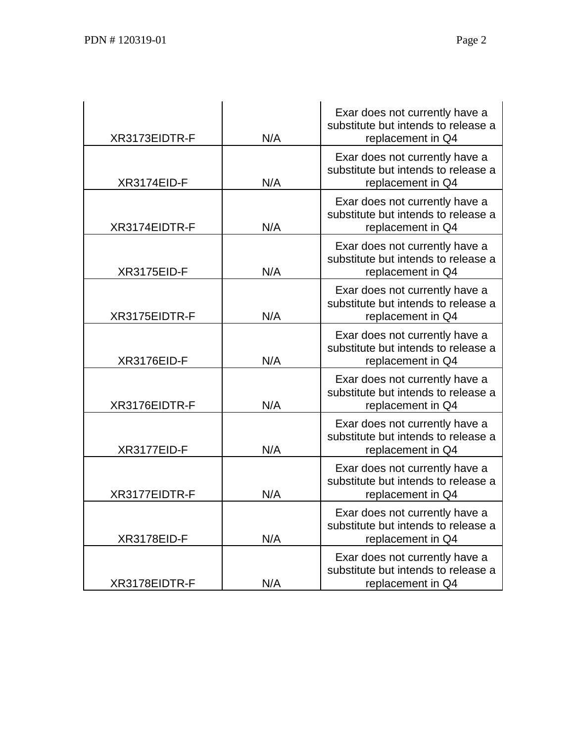|                    |     | Exar does not currently have a                                        |
|--------------------|-----|-----------------------------------------------------------------------|
|                    |     | substitute but intends to release a                                   |
| XR3173EIDTR-F      | N/A | replacement in Q4                                                     |
|                    |     | Exar does not currently have a                                        |
|                    | N/A | substitute but intends to release a                                   |
| XR3174EID-F        |     | replacement in Q4                                                     |
|                    |     | Exar does not currently have a                                        |
| XR3174EIDTR-F      | N/A | substitute but intends to release a<br>replacement in Q4              |
|                    |     |                                                                       |
|                    |     | Exar does not currently have a                                        |
| <b>XR3175EID-F</b> | N/A | substitute but intends to release a<br>replacement in Q4              |
|                    |     |                                                                       |
|                    |     | Exar does not currently have a<br>substitute but intends to release a |
| XR3175EIDTR-F      | N/A | replacement in Q4                                                     |
|                    |     |                                                                       |
|                    |     | Exar does not currently have a<br>substitute but intends to release a |
| XR3176EID-F        | N/A | replacement in Q4                                                     |
|                    |     | Exar does not currently have a                                        |
|                    |     | substitute but intends to release a                                   |
| XR3176EIDTR-F      | N/A | replacement in Q4                                                     |
|                    |     | Exar does not currently have a                                        |
|                    |     | substitute but intends to release a                                   |
| XR3177EID-F        | N/A | replacement in Q4                                                     |
|                    |     | Exar does not currently have a                                        |
|                    |     | substitute but intends to release a                                   |
| XR3177EIDTR-F      | N/A | replacement in Q4                                                     |
|                    |     | Exar does not currently have a                                        |
|                    |     | substitute but intends to release a                                   |
| XR3178EID-F        | N/A | replacement in Q4                                                     |
|                    |     | Exar does not currently have a                                        |
|                    |     | substitute but intends to release a                                   |
| XR3178EIDTR-F      | N/A | replacement in Q4                                                     |